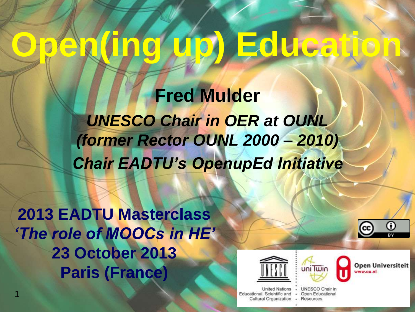# **Open(ing up) Education**

**Fred Mulder** *UNESCO Chair in OER at OUNL (former Rector OUNL 2000 – 2010) Chair EADTU's OpenupEd Initiative*

**2013 EADTU Masterclass** *'The role of MOOCs in HE'* **23 October 2013 Paris (France)**

1





**Open Universiteit** ww.ou.nl

 $|$ (cc)

G

United Nations Educational, Scientific and Cultural Organization UNESCO Chair in Open Educational Resources

 $\sim$ 

Tal.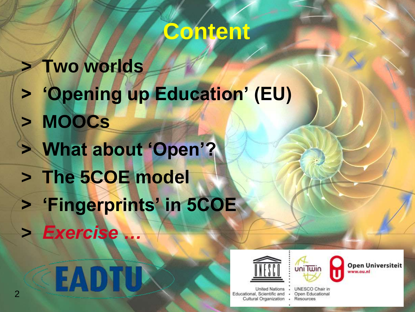#### **Content**

**> Two worlds > 'Opening up Education' (EU) > MOOCs > What about 'Open'? > The 5COE model > 'Fingerprints' in 5COE >** *Exercise …*





UNESCO Chair in

uni Twin



· Open Educational · Resources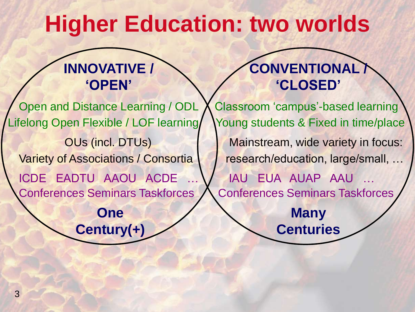### **Higher Education: two worlds**

#### **INNOVATIVE / 'OPEN'**

Open and Distance Learning / ODL Lifelong Open Flexible / LOF learning OUs (incl. DTUs) Variety of Associations / Consortia ICDE EADTU AAOU ACDE Conferences Seminars Taskforces

> **One Century(+)**

#### **CONVENTIONAL / 'CLOSED'**

Classroom 'campus'-based learning Young students & Fixed in time/place Mainstream, wide variety in focus: research/education, large/small, … IAU EUA AUAP AAU … Conferences Seminars Taskforces

> **Many Centuries**

Page 3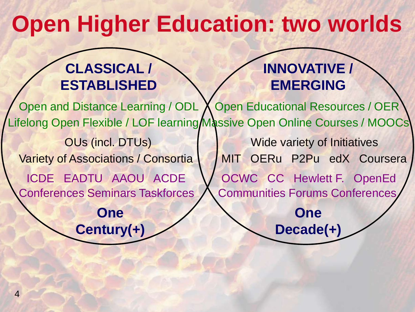### **Open Higher Education: two worlds**

#### **CLASSICAL / ESTABLISHED**

**Century(+)**

#### **INNOVATIVE / EMERGING**

**Decade(+)**

Open and Distance Learning / ODL X Lifelong Open Flexible / LOF learning/Massive Open Online Courses / MOOCs OUs (incl. DTUs) Variety of Associations / Consortia ICDE EADTU AAOU ACDE Conferences Seminars Taskforces **One Open Educational Resources / OER** Wide variety of Initiatives MIT OERu P2Pu edX Coursera OCWC CC Hewlett F. OpenEd Communities Forums Conferences **One**

4

Page 4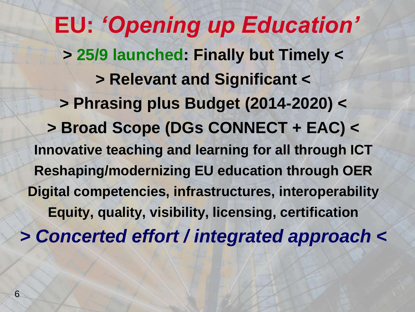**EU:** *'Opening up Education'* **> 25/9 launched: Finally but Timely < > Relevant and Significant < > Phrasing plus Budget (2014-2020) < > Broad Scope (DGs CONNECT + EAC) < Innovative teaching and learning for all through ICT Reshaping/modernizing EU education through OER Digital competencies, infrastructures, interoperability Equity, quality, visibility, licensing, certification** *> Concerted effort / integrated approach <*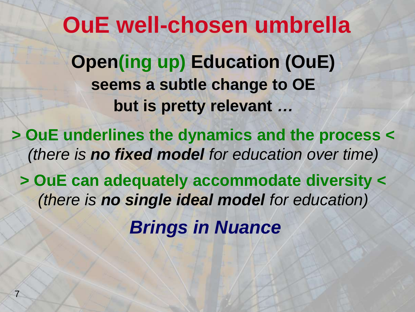**OuE well-chosen umbrella Open(ing up) Education (OuE) seems a subtle change to OE but is pretty relevant** *…*

**> OuE underlines the dynamics and the process <** *(there is no fixed model for education over time)*

**> OuE can adequately accommodate diversity <** *(there is no single ideal model for education) Brings in Nuance*

7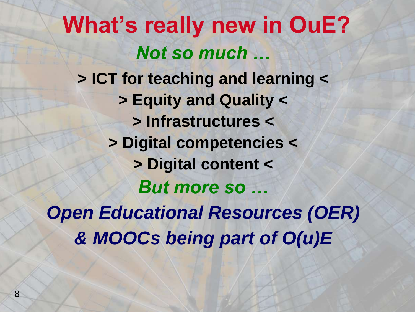#### **What's really new in OuE?** *Not so much …* **> ICT for teaching and learning < > Equity and Quality <**

**> Infrastructures < > Digital competencies < > Digital content <** *But more so … Open Educational Resources (OER) & MOOCs being part of O(u)E*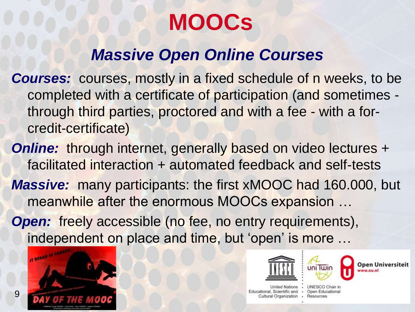#### **MOOCs**

#### *Massive Open Online Courses*

- *Courses:* courses, mostly in a fixed schedule of n weeks, to be completed with a certificate of participation (and sometimes through third parties, proctored and with a fee - with a forcredit-certificate)
- **Online:** through internet, generally based on video lectures + facilitated interaction + automated feedback and self-tests
- *Massive:* many participants: the first xMOOC had 160.000, but meanwhile after the enormous MOOCs expansion …
- **Open:** freely accessible (no fee, no entry requirements), independent on place and time, but 'open' is more …



9



.



)pen Universiteit

United Nations Educational, Scientific and . Open Educational Cultural Organization . Resources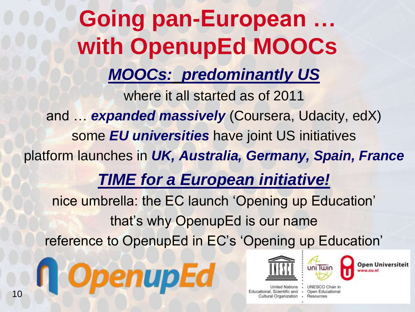# **Going pan-European … with OpenupEd MOOCs**

*MOOCs: predominantly US*

where it all started as of 2011 and … *expanded massively* (Coursera, Udacity, edX) some *EU universities* have joint US initiatives platform launches in *UK, Australia, Germany, Spain, France TIME for a European initiative!* nice umbrella: the EC launch 'Opening up Education' that's why OpenupEd is our name reference to OpenupEd in EC's 'Opening up Education'







Nations Educational, Scientific and . Open Educational Cultural Organization

UNESCO Chair in · Resources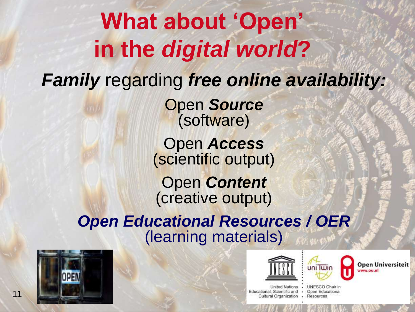#### **What about 'Open' in the** *digital world***?** *Family* regarding *free online availability:* Open *Source* (software) Open *Access* (scientific output) Open *Content* (creative output) *Open Educational Resources / OER* (learning materials)







Open Universiteit ww.ou.nl

United Nations . Educational, Scientific and . Open Educational Cultural Organization . Resources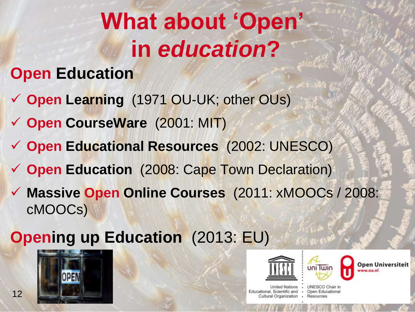# **What about 'Open' in** *education***?**

#### **Open Education**

- **Open Learning** (1971 OU-UK; other OUs)
- **Open CourseWare** (2001: MIT)
- **Open Educational Resources** (2002: UNESCO)
- **Open Education** (2008: Cape Town Declaration)
- **Massive Open Online Courses** (2011: xMOOCs / 2008: cMOOCs)

#### **Opening up Education** (2013: EU)







Open Universiteit

United Nations . Educational, Scientific and . Open Educational Cultural Organization · Resources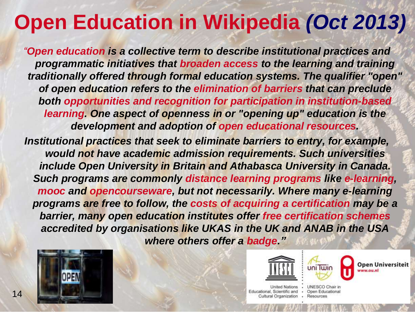### **Open Education in Wikipedia** *(Oct 2013)*

*"Open education is a collective term to describe institutional practices and programmatic initiatives that broaden access to the learning and training traditionally offered through formal education systems. The qualifier "open" of open education refers to the elimination of barriers that can preclude both opportunities and recognition for participation in institution-based learning. One aspect of openness in or "opening up" education is the development and adoption of open educational resources.*

*Institutional practices that seek to eliminate barriers to entry, for example, would not have academic admission requirements. Such universities include Open University in Britain and Athabasca University in Canada. Such programs are commonly distance learning programs like e-learning, mooc and opencourseware, but not necessarily. Where many e-learning programs are free to follow, the costs of acquiring a certification may be a barrier, many open education institutes offer free certification schemes accredited by organisations like UKAS in the UK and ANAB in the USA where others offer a badge."*







Open Universiteit

United Nations . Educational, Scientific and . Open Educational Cultural Organization · Resources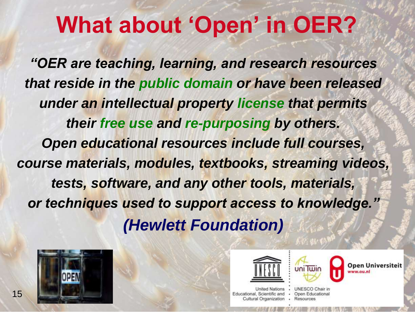## **What about 'Open' in OER?**

*"OER are teaching, learning, and research resources that reside in the public domain or have been released under an intellectual property license that permits their free use and re-purposing by others. Open educational resources include full courses, course materials, modules, textbooks, streaming videos, tests, software, and any other tools, materials, or techniques used to support access to knowledge." (Hewlett Foundation)*







United Nations Educational, Scientific and  $\sim$ Cultural Organization

UNESCO Chair in Open Educational Resources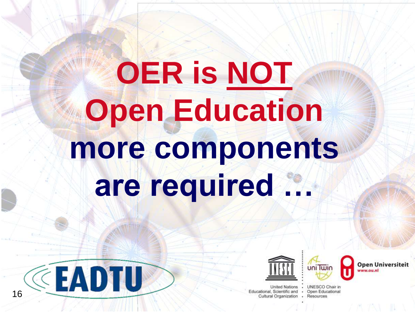# **OER is NOT Open Education more components are required …**



United Nations Educational, Scientific and . Open Educational Cultural Organization . Resources

UNESCO Chair in

**Open Universiteit** ww.ou.nl

CEADTU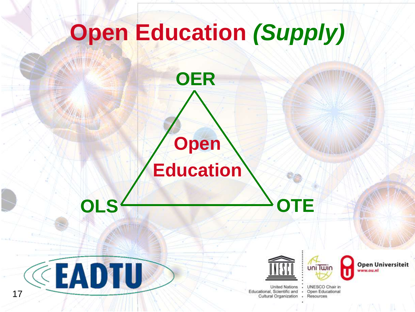# **Open Education** *(Supply)* **Open Education OER**

**OLS**<sup>4</sup> **OTE** 

CEADTU

17



United Nations Educational, Scientific and . Cultural Organization

UNESCO Chair in Open Educational Resources

uni Twin

**Open Universiteit** ww.ou.nl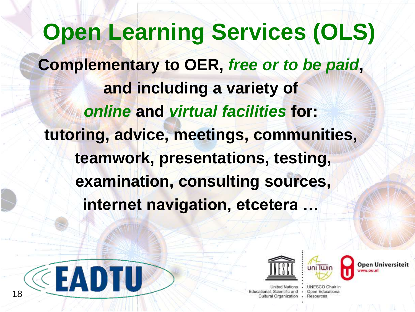**Open Learning Services (OLS) Complementary to OER,** *free or to be paid***, and including a variety of** *online* **and** *virtual facilities* **for: tutoring, advice, meetings, communities, teamwork, presentations, testing, examination, consulting sources, internet navigation, etcetera …**





ducational, Scientific and . Cultural Organization

UNESCO Chair in Open Educational Resources

 $\geq$  0.11  $\geq$  0.11  $\geq$  0.11  $\geq$  0.11  $\geq$  0.11  $\geq$  0.11  $\geq$  0.11  $\geq$  0.11  $\geq$  0.11  $\geq$  0.11  $\geq$  0.11  $\geq$  0.11  $\geq$  0.11  $\geq$  0.11  $\geq$  0.11  $\geq$  0.11  $\geq$  0.11  $\geq$  0.11  $\geq$  0.11  $\geq$  0.11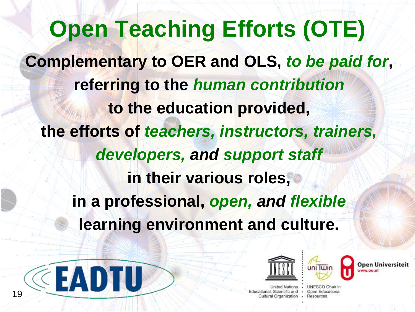**Open Teaching Efforts (OTE) Complementary to OER and OLS,** *to be paid for***, referring to the** *human contribution* **to the education provided, the efforts of** *teachers, instructors, trainers, developers, and support staff* **in their various roles, in a professional,** *open, and flexible* **learning environment and culture.**





ational, Scientific and . Cultural Organization

UNESCO Chair in Open Educational Resources

 $\geq$   $\geq$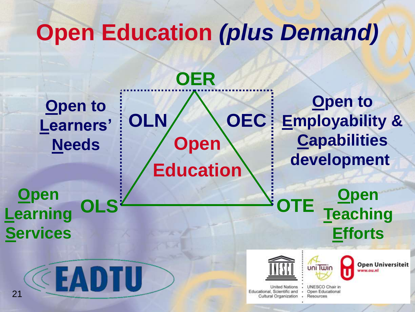## **Open Education** *(plus Demand)*

**Open to Learners' Needs**

**Open Education OLN OEC**

**OER**

**Open to Employability & Capabilities development**

**Open**

**Teaching**

**Efforts**

**OLS OTE Open Learning Services**







Open Universiteit ww.ou.nl

United Nations Educational, Scientific and Cultural Organization

UNESCO Chair in Open Educational  $\bullet$ · Resources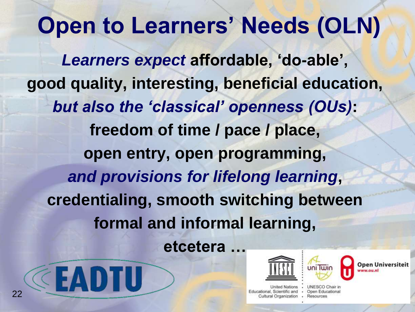## **Open to Learners' Needs (OLN)**

*Learners expect* **affordable, 'do-able', good quality, interesting, beneficial education,** *but also the 'classical' openness (OUs)***: freedom of time / pace / place, open entry, open programming,** *and provisions for lifelong learning***, credentialing, smooth switching between formal and informal learning, etcetera …**







United Nations Educational, Scientific and . Open Educational Cultural Organization · Resources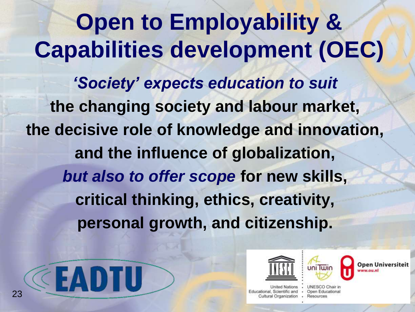**Open to Employability & Capabilities development (OEC)** *'Society' expects education to suit* **the changing society and labour market, the decisive role of knowledge and innovation, and the influence of globalization,** *but also to offer scope* **for new skills, critical thinking, ethics, creativity, personal growth, and citizenship.** 







United Nations Educational, Scientific and . Open Educational Cultural Organization · Resources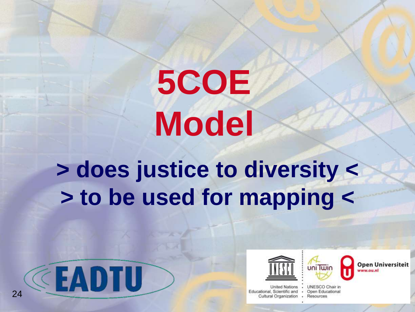# **5COE Model**

**> does justice to diversity < > to be used for mapping <**







**Open Universiteit** ww.ou.nl

United Nations . Educational, Scientific and . Open Educational Cultural Organization . Resources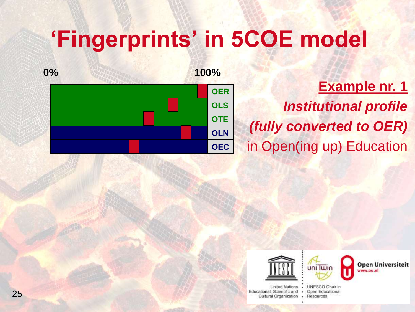

**Example nr. 1** *Institutional profile (fully converted to OER)* in Open(ing up) Education





uniTwin

**Open Universiteit** ww.ou.nl

UNESCO Chair in . · Resources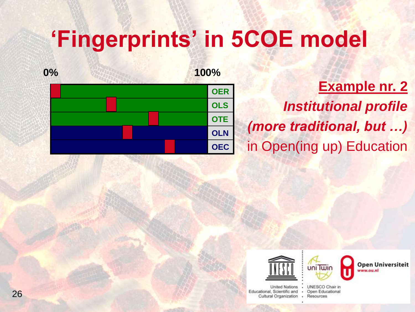

**Example nr. 2** *Institutional profile (more traditional, but …)* in Open(ing up) Education





United Nations Educational, Scientific and . Open Educational Cultural Organization

UNESCO Chair in · Resources

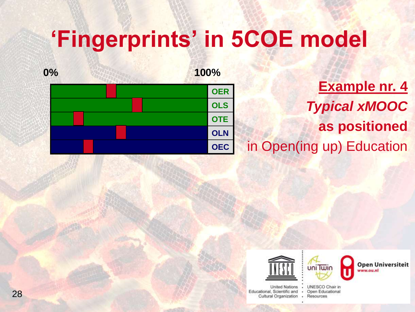

**Example nr. 4** *Typical xMOOC* **as positioned** in Open(ing up) Education





uni Twin

**Open Universiteit** ln.uo.ww

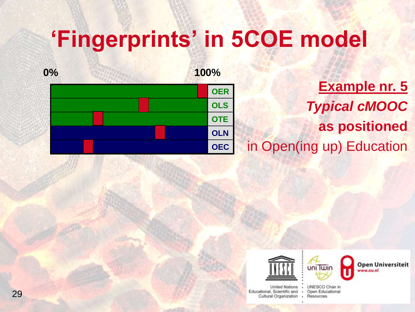

**Example nr. 5** *Typical cMOOC* **as positioned** in Open(ing up) Education







**Open Universiteit** ln.uo.ww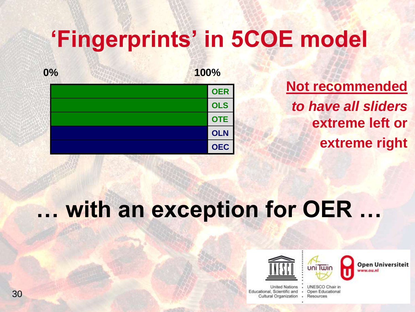

**Not recommended** *to have all sliders*  **extreme left or extreme right**

#### **… with an exception for OER …**





**Open Universiteit** ww.ou.nl

United Nations . Educational, Scientific and . Open Educational Cultural Organization · Resources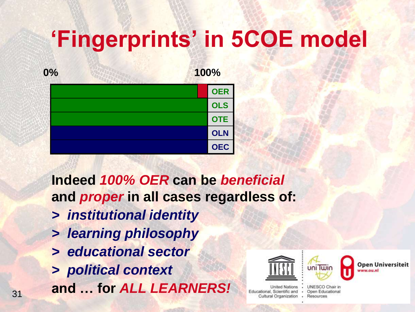

**Indeed** *100% OER* **can be** *beneficial* **and** *proper* **in all cases regardless of:**

- *> institutional identity*
- *> learning philosophy*
- *> educational sector*
- *> political context*

**and … for ALL LEARNERS!** 





Open Universiteit ww.ou.nl

United Nations Educational, Scientific and . Open Educational Cultural Organization · Resources

UNESCO Chair in

.